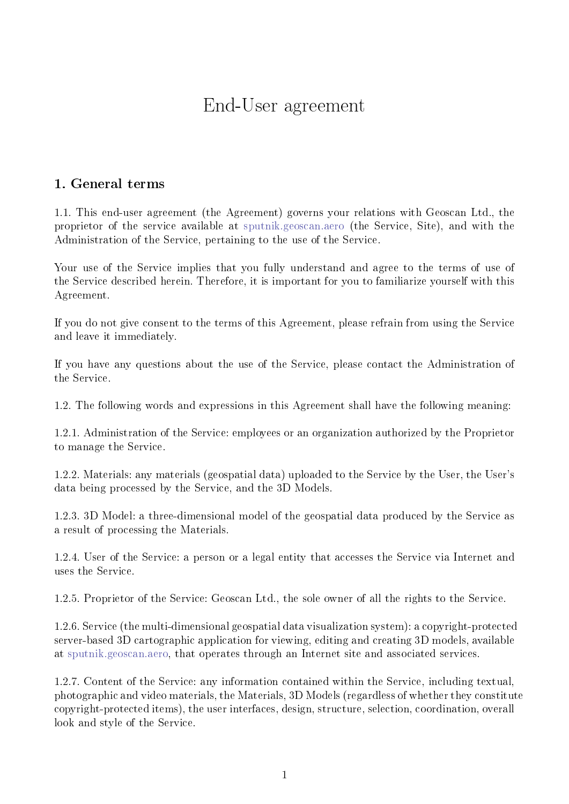# End-User agreement

## 1. General terms

1.1. This end-user agreement (the Agreement) governs your relations with Geoscan Ltd., the proprietor of the service available at [sputnik.geoscan.aero](https://sputnik.geoscan.aero) (the Service, Site), and with the Administration of the Service, pertaining to the use of the Service.

Your use of the Service implies that you fully understand and agree to the terms of use of the Service described herein. Therefore, it is important for you to familiarize yourself with this Agreement.

If you do not give consent to the terms of this Agreement, please refrain from using the Service and leave it immediately.

If you have any questions about the use of the Service, please contact the Administration of the Service.

1.2. The following words and expressions in this Agreement shall have the following meaning:

1.2.1. Administration of the Service: employees or an organization authorized by the Proprietor to manage the Service.

1.2.2. Materials: any materials (geospatial data) uploaded to the Service by the User, the User's data being processed by the Service, and the 3D Models.

1.2.3. 3D Model: a three-dimensional model of the geospatial data produced by the Service as a result of processing the Materials.

1.2.4. User of the Service: a person or a legal entity that accesses the Service via Internet and uses the Service.

1.2.5. Proprietor of the Service: Geoscan Ltd., the sole owner of all the rights to the Service.

1.2.6. Service (the multi-dimensional geospatial data visualization system): a copyright-protected server-based 3D cartographic application for viewing, editing and creating 3D models, available at [sputnik.geoscan.aero,](https://sputnik.geoscan.aero) that operates through an Internet site and associated services.

1.2.7. Content of the Service: any information contained within the Service, including textual, photographic and video materials, the Materials, 3D Models (regardless of whether they constitute copyright-protected items), the user interfaces, design, structure, selection, coordination, overall look and style of the Service.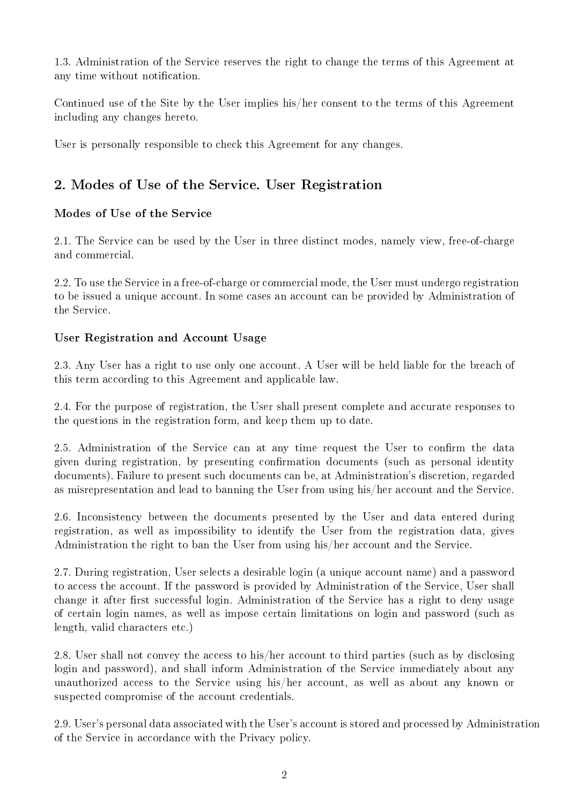1.3. Administration of the Service reserves the right to change the terms of this Agreement at any time without notification.

Continued use of the Site by the User implies his/her consent to the terms of this Agreement including any changes hereto.

User is personally responsible to check this Agreement for any changes.

# 2. Modes of Use of the Service. User Registration

### Modes of Use of the Service

2.1. The Service can be used by the User in three distinct modes, namely view, free-of-charge and commercial.

2.2. To use the Service in a free-of-charge or commercial mode, the User must undergo registration to be issued a unique account. In some cases an account can be provided by Administration of the Service.

### User Registration and Account Usage

<span id="page-1-0"></span>2.3. Any User has a right to use only one account. A User will be held liable for the breach of this term according to this Agreement and applicable law.

2.4. For the purpose of registration, the User shall present complete and accurate responses to the questions in the registration form, and keep them up to date.

2.5. Administration of the Service can at any time request the User to confirm the data given during registration, by presenting confirmation documents (such as personal identity documents). Failure to present such documents can be, at Administration's discretion, regarded as misrepresentation and lead to banning the User from using his/her account and the Service.

2.6. Inconsistency between the documents presented by the User and data entered during registration, as well as impossibility to identify the User from the registration data, gives Administration the right to ban the User from using his/her account and the Service.

2.7. During registration, User selects a desirable login (a unique account name) and a password to access the account. If the password is provided by Administration of the Service, User shall change it after first successful login. Administration of the Service has a right to deny usage of certain login names, as well as impose certain limitations on login and password (such as length, valid characters etc.)

2.8. User shall not convey the access to his/her account to third parties (such as by disclosing login and password), and shall inform Administration of the Service immediately about any unauthorized access to the Service using his/her account, as well as about any known or suspected compromise of the account credentials.

2.9. User's personal data associated with the User's account is stored and processed by Administration of the Service in accordance with the Privacy policy.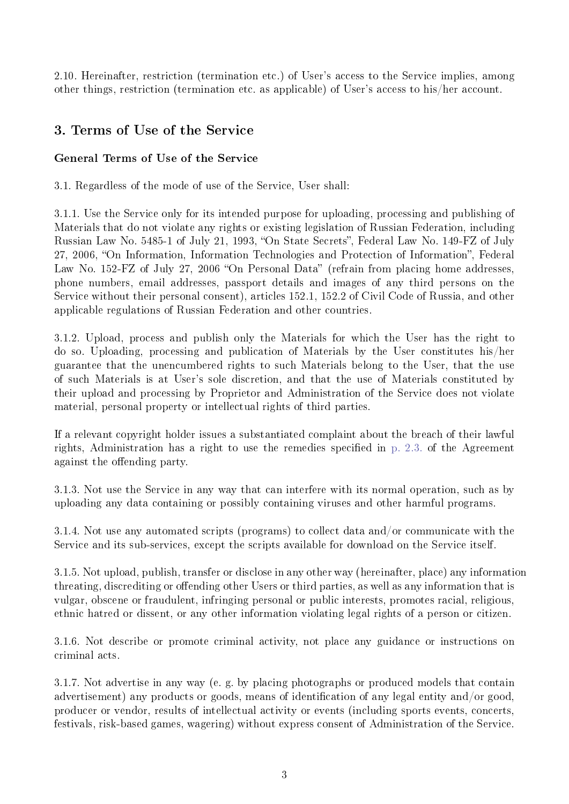2.10. Hereinafter, restriction (termination etc.) of User's access to the Service implies, among other things, restriction (termination etc. as applicable) of User's access to his/her account.

## 3. Terms of Use of the Service

## General Terms of Use of the Service

3.1. Regardless of the mode of use of the Service, User shall:

3.1.1. Use the Service only for its intended purpose for uploading, processing and publishing of Materials that do not violate any rights or existing legislation of Russian Federation, including Russian Law No. 5485-1 of July 21, 1993, "On State Secrets", Federal Law No. 149-FZ of July 27, 2006, "On Information, Information Technologies and Protection of Information", Federal Law No. 152-FZ of July 27, 2006 "On Personal Data" (refrain from placing home addresses, phone numbers, email addresses, passport details and images of any third persons on the Service without their personal consent), articles 152.1, 152.2 of Civil Code of Russia, and other applicable regulations of Russian Federation and other countries.

3.1.2. Upload, process and publish only the Materials for which the User has the right to do so. Uploading, processing and publication of Materials by the User constitutes his/her guarantee that the unencumbered rights to such Materials belong to the User, that the use of such Materials is at User's sole discretion, and that the use of Materials constituted by their upload and processing by Proprietor and Administration of the Service does not violate material, personal property or intellectual rights of third parties.

If a relevant copyright holder issues a substantiated complaint about the breach of their lawful rights, Administration has a right to use the remedies specified in [p. 2.3.](#page-1-0) of the Agreement against the offending party.

3.1.3. Not use the Service in any way that can interfere with its normal operation, such as by uploading any data containing or possibly containing viruses and other harmful programs.

3.1.4. Not use any automated scripts (programs) to collect data and/or communicate with the Service and its sub-services, except the scripts available for download on the Service itself.

3.1.5. Not upload, publish, transfer or disclose in any other way (hereinafter, place) any information threating, discrediting or offending other Users or third parties, as well as any information that is vulgar, obscene or fraudulent, infringing personal or public interests, promotes racial, religious, ethnic hatred or dissent, or any other information violating legal rights of a person or citizen.

3.1.6. Not describe or promote criminal activity, not place any guidance or instructions on criminal acts.

3.1.7. Not advertise in any way (e. g. by placing photographs or produced models that contain advertisement) any products or goods, means of identification of any legal entity and/or good, producer or vendor, results of intellectual activity or events (including sports events, concerts, festivals, risk-based games, wagering) without express consent of Administration of the Service.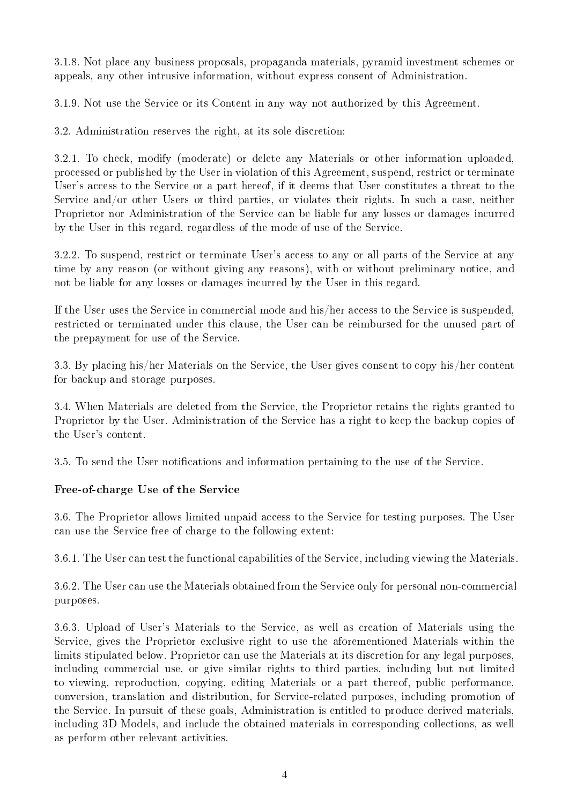3.1.8. Not place any business proposals, propaganda materials, pyramid investment schemes or appeals, any other intrusive information, without express consent of Administration.

3.1.9. Not use the Service or its Content in any way not authorized by this Agreement.

3.2. Administration reserves the right, at its sole discretion:

3.2.1. To check, modify (moderate) or delete any Materials or other information uploaded, processed or published by the User in violation of this Agreement, suspend, restrict or terminate User's access to the Service or a part hereof, if it deems that User constitutes a threat to the Service and/or other Users or third parties, or violates their rights. In such a case, neither Proprietor nor Administration of the Service can be liable for any losses or damages incurred by the User in this regard, regardless of the mode of use of the Service.

3.2.2. To suspend, restrict or terminate User's access to any or all parts of the Service at any time by any reason (or without giving any reasons), with or without preliminary notice, and not be liable for any losses or damages incurred by the User in this regard.

If the User uses the Service in commercial mode and his/her access to the Service is suspended, restricted or terminated under this clause, the User can be reimbursed for the unused part of the prepayment for use of the Service.

3.3. By placing his/her Materials on the Service, the User gives consent to copy his/her content for backup and storage purposes.

3.4. When Materials are deleted from the Service, the Proprietor retains the rights granted to Proprietor by the User. Administration of the Service has a right to keep the backup copies of the User's content.

3.5. To send the User notifications and information pertaining to the use of the Service.

#### Free-of-charge Use of the Service

3.6. The Proprietor allows limited unpaid access to the Service for testing purposes. The User can use the Service free of charge to the following extent:

3.6.1. The User can test the functional capabilities of the Service, including viewing the Materials.

3.6.2. The User can use the Materials obtained from the Service only for personal non-commercial purposes.

<span id="page-3-0"></span>3.6.3. Upload of User's Materials to the Service, as well as creation of Materials using the Service, gives the Proprietor exclusive right to use the aforementioned Materials within the limits stipulated below. Proprietor can use the Materials at its discretion for any legal purposes, including commercial use, or give similar rights to third parties, including but not limited to viewing, reproduction, copying, editing Materials or a part thereof, public performance, conversion, translation and distribution, for Service-related purposes, including promotion of the Service. In pursuit of these goals, Administration is entitled to produce derived materials, including 3D Models, and include the obtained materials in corresponding collections, as well as perform other relevant activities.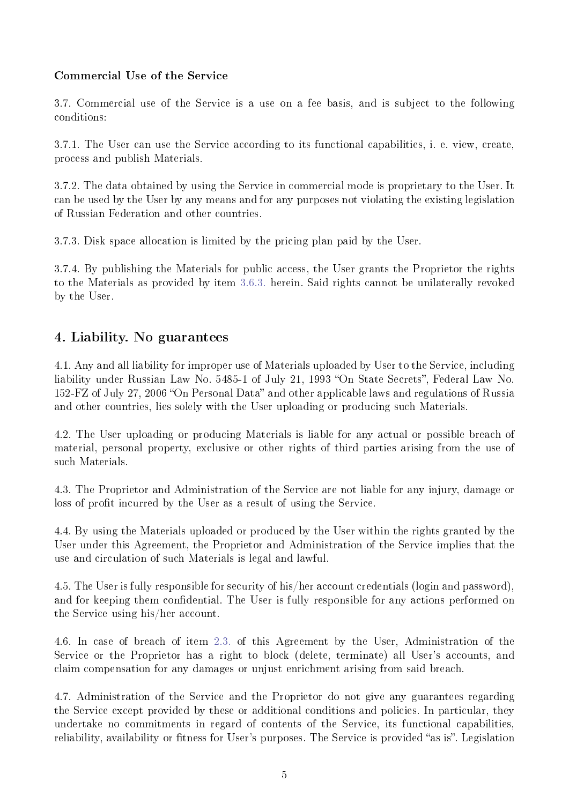#### Commercial Use of the Service

3.7. Commercial use of the Service is a use on a fee basis, and is subject to the following conditions:

3.7.1. The User can use the Service according to its functional capabilities, i. e. view, create, process and publish Materials.

3.7.2. The data obtained by using the Service in commercial mode is proprietary to the User. It can be used by the User by any means and for any purposes not violating the existing legislation of Russian Federation and other countries.

3.7.3. Disk space allocation is limited by the pricing plan paid by the User.

3.7.4. By publishing the Materials for public access, the User grants the Proprietor the rights to the Materials as provided by item [3.6.3.](#page-3-0) herein. Said rights cannot be unilaterally revoked by the User.

## 4. Liability. No guarantees

4.1. Any and all liability for improper use of Materials uploaded by User to the Service, including liability under Russian Law No. 5485-1 of July 21, 1993 "On State Secrets", Federal Law No. 152-FZ of July 27, 2006 "On Personal Data" and other applicable laws and regulations of Russia and other countries, lies solely with the User uploading or producing such Materials.

4.2. The User uploading or producing Materials is liable for any actual or possible breach of material, personal property, exclusive or other rights of third parties arising from the use of such Materials.

4.3. The Proprietor and Administration of the Service are not liable for any injury, damage or loss of profit incurred by the User as a result of using the Service.

4.4. By using the Materials uploaded or produced by the User within the rights granted by the User under this Agreement, the Proprietor and Administration of the Service implies that the use and circulation of such Materials is legal and lawful.

4.5. The User is fully responsible for security of his/her account credentials (login and password), and for keeping them confidential. The User is fully responsible for any actions performed on the Service using his/her account.

4.6. In case of breach of item [2.3.](#page-1-0) of this Agreement by the User, Administration of the Service or the Proprietor has a right to block (delete, terminate) all User's accounts, and claim compensation for any damages or unjust enrichment arising from said breach.

4.7. Administration of the Service and the Proprietor do not give any guarantees regarding the Service except provided by these or additional conditions and policies. In particular, they undertake no commitments in regard of contents of the Service, its functional capabilities, reliability, availability or fitness for User's purposes. The Service is provided "as is". Legislation